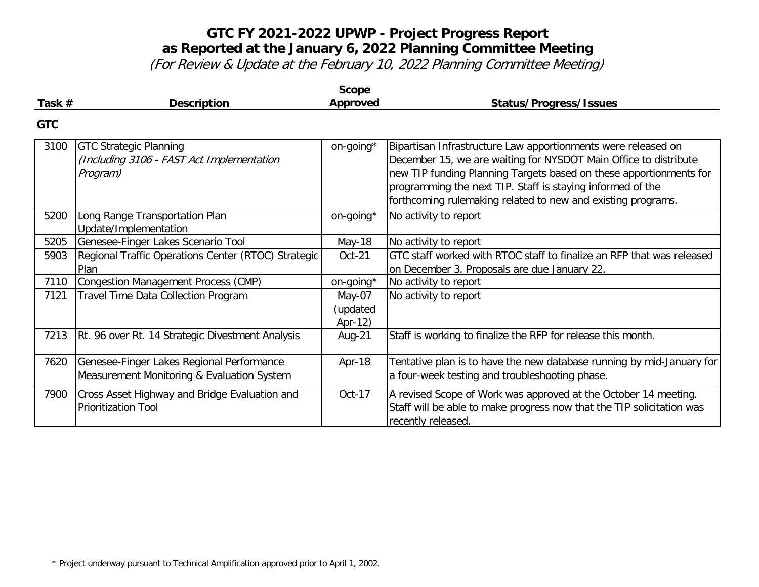|            |                                                                                         | <b>Scope</b>                  |                                                                                                                                                                                                                                                                                                                                       |
|------------|-----------------------------------------------------------------------------------------|-------------------------------|---------------------------------------------------------------------------------------------------------------------------------------------------------------------------------------------------------------------------------------------------------------------------------------------------------------------------------------|
| Task $#$   | <b>Description</b>                                                                      | Approved                      | <b>Status/Progress/Issues</b>                                                                                                                                                                                                                                                                                                         |
| <b>GTC</b> |                                                                                         |                               |                                                                                                                                                                                                                                                                                                                                       |
| 3100       | <b>GTC Strategic Planning</b><br>(Including 3106 - FAST Act Implementation<br>Program)  | on-going*                     | Bipartisan Infrastructure Law apportionments were released on<br>December 15, we are waiting for NYSDOT Main Office to distribute<br>new TIP funding Planning Targets based on these apportionments for<br>programming the next TIP. Staff is staying informed of the<br>forthcoming rulemaking related to new and existing programs. |
| 5200       | Long Range Transportation Plan<br>Update/Implementation                                 | on-going*                     | No activity to report                                                                                                                                                                                                                                                                                                                 |
| 5205       | Genesee-Finger Lakes Scenario Tool                                                      | May-18                        | No activity to report                                                                                                                                                                                                                                                                                                                 |
| 5903       | Regional Traffic Operations Center (RTOC) Strategic<br>Plan                             | Oct-21                        | GTC staff worked with RTOC staff to finalize an RFP that was released<br>on December 3. Proposals are due January 22.                                                                                                                                                                                                                 |
| 7110       | <b>Congestion Management Process (CMP)</b>                                              | on-going*                     | No activity to report                                                                                                                                                                                                                                                                                                                 |
| 7121       | Travel Time Data Collection Program                                                     | May-07<br>(updated<br>Apr-12) | No activity to report                                                                                                                                                                                                                                                                                                                 |
| 7213       | Rt. 96 over Rt. 14 Strategic Divestment Analysis                                        | Aug-21                        | Staff is working to finalize the RFP for release this month.                                                                                                                                                                                                                                                                          |
| 7620       | Genesee-Finger Lakes Regional Performance<br>Measurement Monitoring & Evaluation System | Apr-18                        | Tentative plan is to have the new database running by mid-January for<br>a four-week testing and troubleshooting phase.                                                                                                                                                                                                               |
| 7900       | Cross Asset Highway and Bridge Evaluation and<br><b>Prioritization Tool</b>             | Oct-17                        | A revised Scope of Work was approved at the October 14 meeting.<br>Staff will be able to make progress now that the TIP solicitation was<br>recently released.                                                                                                                                                                        |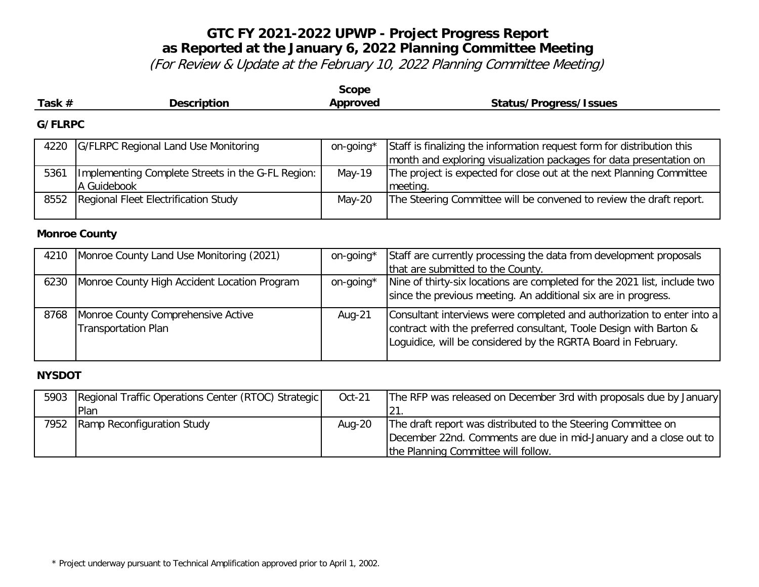(For Review & Update at the February 10, 2022 Planning Committee Meeting)

| <b>Scope</b>   |                                                                  |           |                                                                                                                                               |  |
|----------------|------------------------------------------------------------------|-----------|-----------------------------------------------------------------------------------------------------------------------------------------------|--|
| Task #         | <b>Description</b>                                               | Approved  | <b>Status/Progress/Issues</b>                                                                                                                 |  |
| <b>G/FLRPC</b> |                                                                  |           |                                                                                                                                               |  |
| 4220           | G/FLRPC Regional Land Use Monitoring                             | on-going* | Staff is finalizing the information request form for distribution this<br>month and exploring visualization packages for data presentation on |  |
| 5361           | Implementing Complete Streets in the G-FL Region:<br>A Guidebook | $May-19$  | The project is expected for close out at the next Planning Committee<br>meeting.                                                              |  |
| 8552           | Regional Fleet Electrification Study                             | $May-20$  | The Steering Committee will be convened to review the draft report.                                                                           |  |

#### **Monroe County**

| 4210 | Monroe County Land Use Monitoring (2021)                         | on-going* | Staff are currently processing the data from development proposals                                                                                                                                            |
|------|------------------------------------------------------------------|-----------|---------------------------------------------------------------------------------------------------------------------------------------------------------------------------------------------------------------|
|      |                                                                  |           | that are submitted to the County.                                                                                                                                                                             |
| 6230 | Monroe County High Accident Location Program                     | on-going* | Nine of thirty-six locations are completed for the 2021 list, include two<br>since the previous meeting. An additional six are in progress.                                                                   |
| 8768 | Monroe County Comprehensive Active<br><b>Transportation Plan</b> | Aug-21    | Consultant interviews were completed and authorization to enter into a<br>contract with the preferred consultant, Toole Design with Barton &<br>Loguidice, will be considered by the RGRTA Board in February. |

### **NYSDOT**

| 5903 | Regional Traffic Operations Center (RTOC) Strategic | Oct-21    | The RFP was released on December 3rd with proposals due by January |
|------|-----------------------------------------------------|-----------|--------------------------------------------------------------------|
|      | Plan                                                |           | 121.                                                               |
| 7952 | Ramp Reconfiguration Study                          | Aug- $20$ | The draft report was distributed to the Steering Committee on      |
|      |                                                     |           | December 22nd. Comments are due in mid-January and a close out to  |
|      |                                                     |           | the Planning Committee will follow.                                |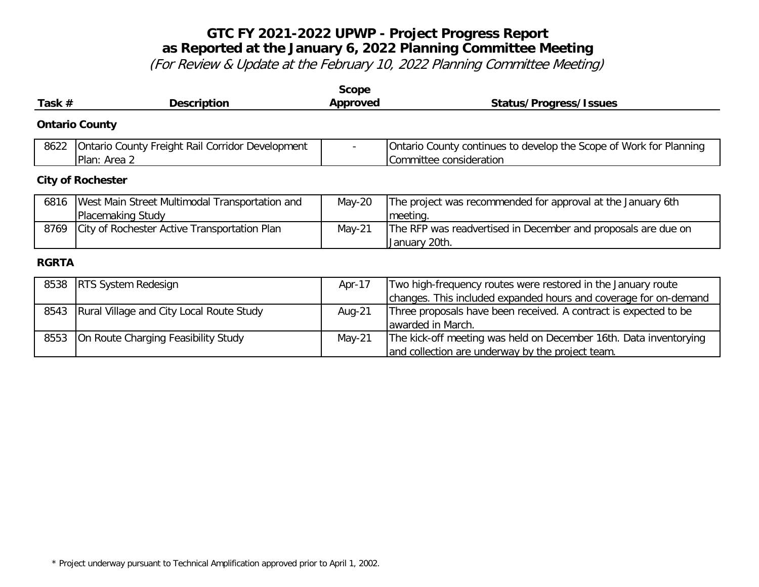| Task $#$     | <b>Description</b>                                                  | <b>Scope</b><br>Approved               | <b>Status/Progress/Issues</b>                                                                         |
|--------------|---------------------------------------------------------------------|----------------------------------------|-------------------------------------------------------------------------------------------------------|
|              | <b>Ontario County</b>                                               |                                        |                                                                                                       |
| 8622         | Ontario County Freight Rail Corridor Development<br>Plan: Area 2    |                                        | Ontario County continues to develop the Scope of Work for Planning<br>Committee consideration         |
|              | <b>City of Rochester</b>                                            |                                        |                                                                                                       |
| 6816         | West Main Street Multimodal Transportation and<br>Placemaking Study | $May-20$                               | The project was recommended for approval at the January 6th<br>meeting.                               |
| 8769         | City of Rochester Active Transportation Plan                        | $May-21$                               | The RFP was readvertised in December and proposals are due on<br>January 20th.                        |
| <b>RGRTA</b> |                                                                     |                                        |                                                                                                       |
|              | OF30 IDTC Custom Bestectum                                          | $\mathbf{A} = \mathbf{A} + \mathbf{A}$ | $\mathsf{T}$ , and the final construction of the construction of the theory beams in the $\mathsf{I}$ |

|      | 8538   RTS System Redesign               | Apr-17   | Two high-frequency routes were restored in the January route      |
|------|------------------------------------------|----------|-------------------------------------------------------------------|
|      |                                          |          | changes. This included expanded hours and coverage for on-demand  |
| 8543 | Rural Village and City Local Route Study | Aug-21   | Three proposals have been received. A contract is expected to be  |
|      |                                          |          | awarded in March.                                                 |
| 8553 | On Route Charging Feasibility Study      | $May-21$ | The kick-off meeting was held on December 16th. Data inventorying |
|      |                                          |          | and collection are underway by the project team.                  |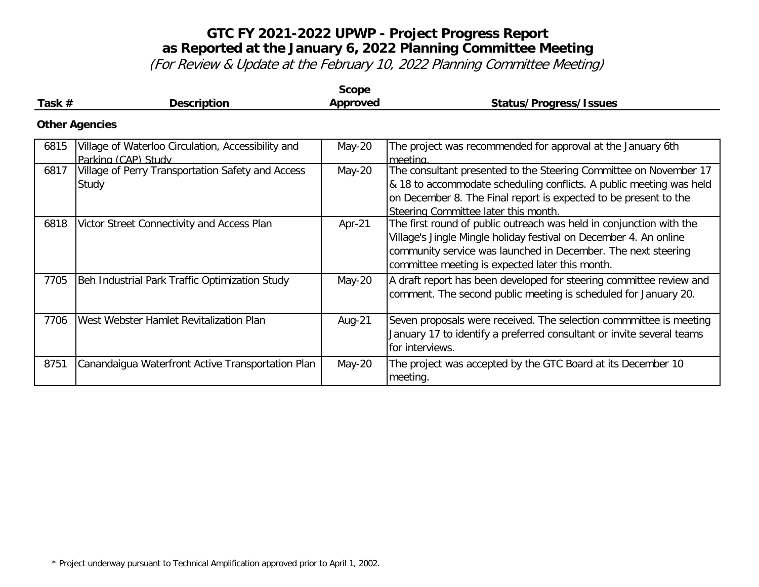| Task $#$ | <b>Description</b>                                                        | <b>Scope</b><br>Approved | <b>Status/Progress/Issues</b>                                                                                                                                                                                                                                |
|----------|---------------------------------------------------------------------------|--------------------------|--------------------------------------------------------------------------------------------------------------------------------------------------------------------------------------------------------------------------------------------------------------|
|          | <b>Other Agencies</b>                                                     |                          |                                                                                                                                                                                                                                                              |
| 6815     | Village of Waterloo Circulation, Accessibility and<br>Parking (CAP) Study | May-20                   | The project was recommended for approval at the January 6th<br>meeting.                                                                                                                                                                                      |
| 6817     | Village of Perry Transportation Safety and Access<br>Study                | May-20                   | The consultant presented to the Steering Committee on November 17<br>& 18 to accommodate scheduling conflicts. A public meeting was held<br>on December 8. The Final report is expected to be present to the<br>Steering Committee later this month.         |
| 6818     | Victor Street Connectivity and Access Plan                                | Apr-21                   | The first round of public outreach was held in conjunction with the<br>Village's Jingle Mingle holiday festival on December 4. An online<br>community service was launched in December. The next steering<br>committee meeting is expected later this month. |
| 7705     | Beh Industrial Park Traffic Optimization Study                            | May-20                   | A draft report has been developed for steering committee review and<br>comment. The second public meeting is scheduled for January 20.                                                                                                                       |
| 7706     | West Webster Hamlet Revitalization Plan                                   | Aug-21                   | Seven proposals were received. The selection commmittee is meeting<br>January 17 to identify a preferred consultant or invite several teams<br>for interviews.                                                                                               |
| 8751     | Canandaigua Waterfront Active Transportation Plan                         | May-20                   | The project was accepted by the GTC Board at its December 10<br>meeting.                                                                                                                                                                                     |